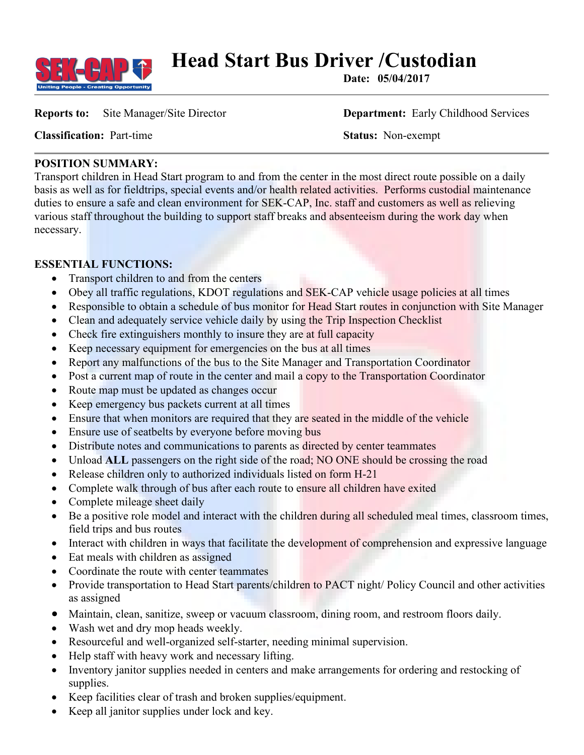

**Head Start Bus Driver / Custodian Date:** 05/04/2017

**Reports to:** Site Manager/Site Director **Department:** Early Childhood Services

**Classification:** Part-time **Status:** Non-exempt

## **POSITION SUMMARY:**

Transport children in Head Start program to and from the center in the most direct route possible on a daily basis as well as for fieldtrips, special events and/or health related activities. Performs custodial maintenance duties to ensure a safe and clean environment for SEK-CAP, Inc. staff and customers as well as relieving various staff throughout the building to support staff breaks and absenteeism during the work day when necessary.

# **ESSENTIAL FUNCTIONS:**

- Transport children to and from the centers
- Obey all traffic regulations, KDOT regulations and SEK-CAP vehicle usage policies at all times
- Responsible to obtain a schedule of bus monitor for Head Start routes in conjunction with Site Manager
- Clean and adequately service vehicle daily by using the Trip Inspection Checklist
- Check fire extinguishers monthly to insure they are at full capacity
- Keep necessary equipment for emergencies on the bus at all times
- Report any malfunctions of the bus to the Site Manager and Transportation Coordinator
- Post a current map of route in the center and mail a copy to the Transportation Coordinator
- Route map must be updated as changes occur
- Keep emergency bus packets current at all times
- Ensure that when monitors are required that they are seated in the middle of the vehicle
- Ensure use of seatbelts by everyone before moving bus
- Distribute notes and communications to parents as directed by center teammates
- Unload **ALL** passengers on the right side of the road; NO ONE should be crossing the road
- Release children only to authorized individuals listed on form H-21
- Complete walk through of bus after each route to ensure all children have exited
- Complete mileage sheet daily
- Be a positive role model and interact with the children during all scheduled meal times, classroom times, field trips and bus routes
- Interact with children in ways that facilitate the development of comprehension and expressive language
- Eat meals with children as assigned
- Coordinate the route with center teammates
- Provide transportation to Head Start parents/children to PACT night/ Policy Council and other activities as assigned
- Maintain, clean, sanitize, sweep or vacuum classroom, dining room, and restroom floors daily.
- Wash wet and dry mop heads weekly.
- Resourceful and well-organized self-starter, needing minimal supervision.
- Help staff with heavy work and necessary lifting.
- Inventory janitor supplies needed in centers and make arrangements for ordering and restocking of supplies.
- Keep facilities clear of trash and broken supplies/equipment.
- Keep all janitor supplies under lock and key.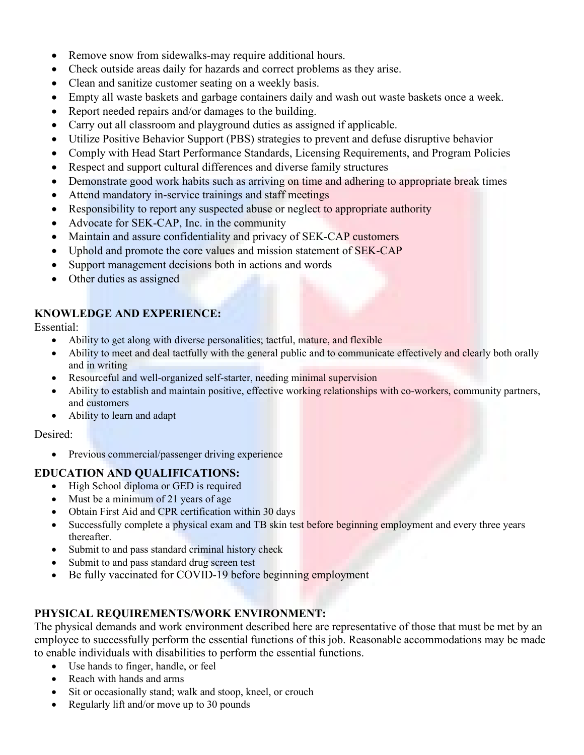- Remove snow from sidewalks-may require additional hours.
- Check outside areas daily for hazards and correct problems as they arise.
- Clean and sanitize customer seating on a weekly basis.
- Empty all waste baskets and garbage containers daily and wash out waste baskets once a week.
- Report needed repairs and/or damages to the building.
- Carry out all classroom and playground duties as assigned if applicable.
- Utilize Positive Behavior Support (PBS) strategies to prevent and defuse disruptive behavior
- Comply with Head Start Performance Standards, Licensing Requirements, and Program Policies
- Respect and support cultural differences and diverse family structures
- Demonstrate good work habits such as arriving on time and adhering to appropriate break times
- Attend mandatory in-service trainings and staff meetings
- Responsibility to report any suspected abuse or neglect to appropriate authority
- Advocate for SEK-CAP, Inc. in the community
- Maintain and assure confidentiality and privacy of SEK-CAP customers
- Uphold and promote the core values and mission statement of SEK-CAP
- Support management decisions both in actions and words
- Other duties as assigned

## **KNOWLEDGE AND EXPERIENCE:**

Essential:

- Ability to get along with diverse personalities; tactful, mature, and flexible
- Ability to meet and deal tactfully with the general public and to communicate effectively and clearly both orally and in writing
- Resourceful and well-organized self-starter, needing minimal supervision
- Ability to establish and maintain positive, effective working relationships with co-workers, community partners, and customers
- Ability to learn and adapt

#### Desired:

• Previous commercial/passenger driving experience

## **EDUCATION AND QUALIFICATIONS:**

- High School diploma or GED is required
- Must be a minimum of 21 years of age
- Obtain First Aid and CPR certification within 30 days
- Successfully complete a physical exam and TB skin test before beginning employment and every three years thereafter.
- Submit to and pass standard criminal history check
- Submit to and pass standard drug screen test
- Be fully vaccinated for COVID-19 before beginning employment

# **PHYSICAL REQUIREMENTS/WORK ENVIRONMENT:**

The physical demands and work environment described here are representative of those that must be met by an employee to successfully perform the essential functions of this job. Reasonable accommodations may be made to enable individuals with disabilities to perform the essential functions.

- Use hands to finger, handle, or feel
- Reach with hands and arms
- Sit or occasionally stand; walk and stoop, kneel, or crouch
- Regularly lift and/or move up to 30 pounds